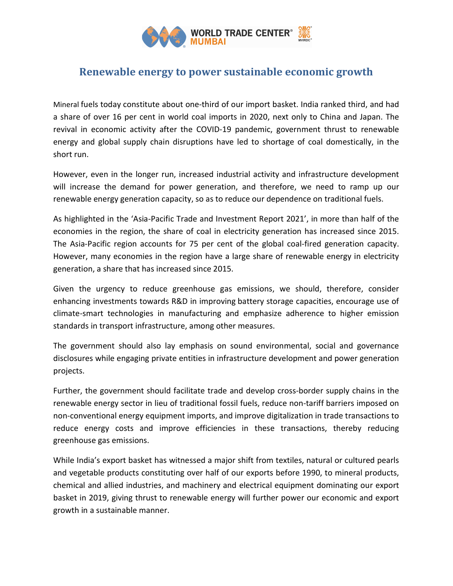

## Renewable energy to power sustainable economic growth

Mineral fuels today constitute about one-third of our import basket. India ranked third, and had a share of over 16 per cent in world coal imports in 2020, next only to China and Japan. The revival in economic activity after the COVID-19 pandemic, government thrust to renewable energy and global supply chain disruptions have led to shortage of coal domestically, in the short run.

However, even in the longer run, increased industrial activity and infrastructure development will increase the demand for power generation, and therefore, we need to ramp up our renewable energy generation capacity, so as to reduce our dependence on traditional fuels.

As highlighted in the 'Asia-Pacific Trade and Investment Report 2021', in more than half of the economies in the region, the share of coal in electricity generation has increased since 2015. The Asia-Pacific region accounts for 75 per cent of the global coal-fired generation capacity. However, many economies in the region have a large share of renewable energy in electricity generation, a share that has increased since 2015.

Given the urgency to reduce greenhouse gas emissions, we should, therefore, consider enhancing investments towards R&D in improving battery storage capacities, encourage use of climate-smart technologies in manufacturing and emphasize adherence to higher emission standards in transport infrastructure, among other measures.

The government should also lay emphasis on sound environmental, social and governance disclosures while engaging private entities in infrastructure development and power generation projects.

Further, the government should facilitate trade and develop cross-border supply chains in the renewable energy sector in lieu of traditional fossil fuels, reduce non-tariff barriers imposed on non-conventional energy equipment imports, and improve digitalization in trade transactions to reduce energy costs and improve efficiencies in these transactions, thereby reducing greenhouse gas emissions.

While India's export basket has witnessed a major shift from textiles, natural or cultured pearls and vegetable products constituting over half of our exports before 1990, to mineral products, chemical and allied industries, and machinery and electrical equipment dominating our export basket in 2019, giving thrust to renewable energy will further power our economic and export growth in a sustainable manner.